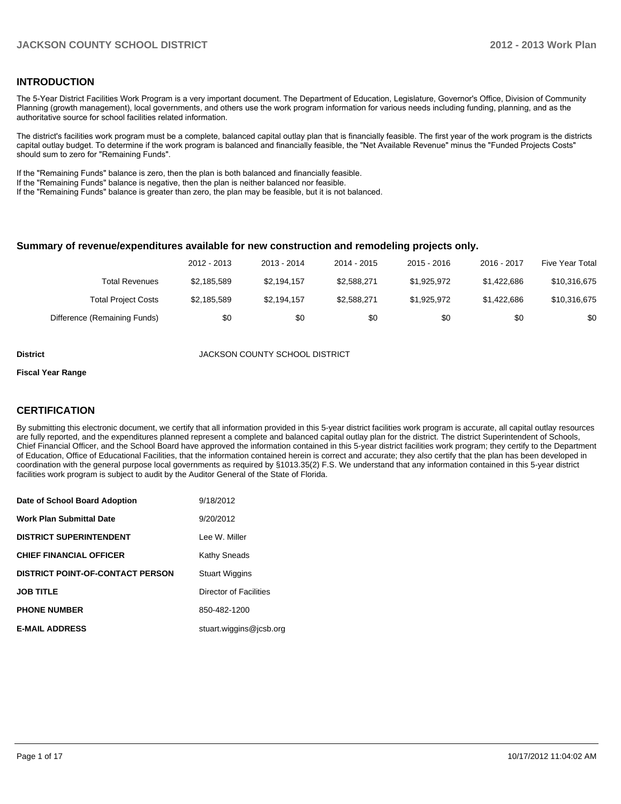#### **INTRODUCTION**

The 5-Year District Facilities Work Program is a very important document. The Department of Education, Legislature, Governor's Office, Division of Community Planning (growth management), local governments, and others use the work program information for various needs including funding, planning, and as the authoritative source for school facilities related information.

The district's facilities work program must be a complete, balanced capital outlay plan that is financially feasible. The first year of the work program is the districts capital outlay budget. To determine if the work program is balanced and financially feasible, the "Net Available Revenue" minus the "Funded Projects Costs" should sum to zero for "Remaining Funds".

If the "Remaining Funds" balance is zero, then the plan is both balanced and financially feasible.

If the "Remaining Funds" balance is negative, then the plan is neither balanced nor feasible.

If the "Remaining Funds" balance is greater than zero, the plan may be feasible, but it is not balanced.

#### **Summary of revenue/expenditures available for new construction and remodeling projects only.**

|                              | 2012 - 2013 | 2013 - 2014 | 2014 - 2015 | $2015 - 2016$ | 2016 - 2017 | Five Year Total |
|------------------------------|-------------|-------------|-------------|---------------|-------------|-----------------|
| Total Revenues               | \$2.185.589 | \$2.194.157 | \$2,588,271 | \$1.925.972   | \$1.422.686 | \$10,316,675    |
| <b>Total Project Costs</b>   | \$2,185,589 | \$2,194,157 | \$2,588,271 | \$1.925.972   | \$1.422.686 | \$10,316,675    |
| Difference (Remaining Funds) | \$0         | \$0         | \$0         | \$0           | \$0         | \$0             |

**District** JACKSON COUNTY SCHOOL DISTRICT

#### **Fiscal Year Range**

#### **CERTIFICATION**

By submitting this electronic document, we certify that all information provided in this 5-year district facilities work program is accurate, all capital outlay resources are fully reported, and the expenditures planned represent a complete and balanced capital outlay plan for the district. The district Superintendent of Schools, Chief Financial Officer, and the School Board have approved the information contained in this 5-year district facilities work program; they certify to the Department of Education, Office of Educational Facilities, that the information contained herein is correct and accurate; they also certify that the plan has been developed in coordination with the general purpose local governments as required by §1013.35(2) F.S. We understand that any information contained in this 5-year district facilities work program is subject to audit by the Auditor General of the State of Florida.

| Date of School Board Adoption           | 9/18/2012               |
|-----------------------------------------|-------------------------|
| <b>Work Plan Submittal Date</b>         | 9/20/2012               |
| <b>DISTRICT SUPERINTENDENT</b>          | Lee W. Miller           |
| <b>CHIEF FINANCIAL OFFICER</b>          | <b>Kathy Sneads</b>     |
| <b>DISTRICT POINT-OF-CONTACT PERSON</b> | <b>Stuart Wiggins</b>   |
| <b>JOB TITLE</b>                        | Director of Facilities  |
| <b>PHONE NUMBER</b>                     | 850-482-1200            |
| <b>E-MAIL ADDRESS</b>                   | stuart.wiggins@jcsb.org |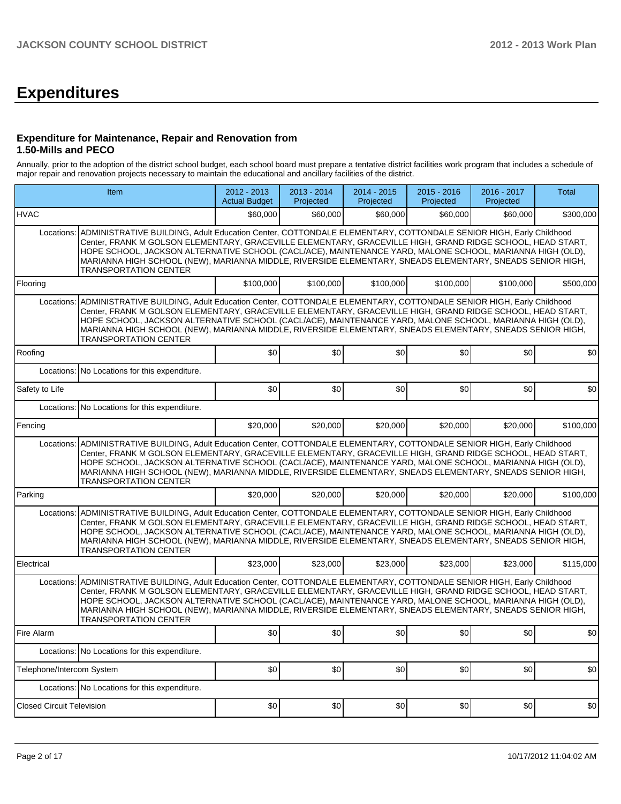# **Expenditures**

#### **Expenditure for Maintenance, Repair and Renovation from 1.50-Mills and PECO**

Annually, prior to the adoption of the district school budget, each school board must prepare a tentative district facilities work program that includes a schedule of major repair and renovation projects necessary to maintain the educational and ancillary facilities of the district.

| Item                             |                                                                                                                                                                                                                                                                                                                                                                                                                                                                                                       | $2012 - 2013$<br><b>Actual Budget</b> | 2013 - 2014<br>Projected | 2014 - 2015<br>Projected | $2015 - 2016$<br>Projected | 2016 - 2017<br>Projected | <b>Total</b> |  |
|----------------------------------|-------------------------------------------------------------------------------------------------------------------------------------------------------------------------------------------------------------------------------------------------------------------------------------------------------------------------------------------------------------------------------------------------------------------------------------------------------------------------------------------------------|---------------------------------------|--------------------------|--------------------------|----------------------------|--------------------------|--------------|--|
| <b>HVAC</b>                      |                                                                                                                                                                                                                                                                                                                                                                                                                                                                                                       | \$60,000                              | \$60,000                 | \$60,000                 | \$60,000                   | \$60,000                 | \$300,000    |  |
| Locations:                       | ADMINISTRATIVE BUILDING. Adult Education Center. COTTONDALE ELEMENTARY. COTTONDALE SENIOR HIGH. Early Childhood<br>Center, FRANK M GOLSON ELEMENTARY, GRACEVILLE ELEMENTARY, GRACEVILLE HIGH, GRAND RIDGE SCHOOL, HEAD START,<br>HOPE SCHOOL, JACKSON ALTERNATIVE SCHOOL (CACL/ACE), MAINTENANCE YARD, MALONE SCHOOL, MARIANNA HIGH (OLD),<br>MARIANNA HIGH SCHOOL (NEW), MARIANNA MIDDLE, RIVERSIDE ELEMENTARY, SNEADS ELEMENTARY, SNEADS SENIOR HIGH,<br><b>TRANSPORTATION CENTER</b>               |                                       |                          |                          |                            |                          |              |  |
| Flooring                         |                                                                                                                                                                                                                                                                                                                                                                                                                                                                                                       | \$100,000                             | \$100,000                | \$100.000                | \$100,000                  | \$100,000                | \$500,000    |  |
| Locations:                       | ADMINISTRATIVE BUILDING, Adult Education Center, COTTONDALE ELEMENTARY, COTTONDALE SENIOR HIGH, Early Childhood<br>Center, FRANK M GOLSON ELEMENTARY, GRACEVILLE ELEMENTARY, GRACEVILLE HIGH, GRAND RIDGE SCHOOL, HEAD START,<br>HOPE SCHOOL, JACKSON ALTERNATIVE SCHOOL (CACL/ACE), MAINTENANCE YARD, MALONE SCHOOL, MARIANNA HIGH (OLD),<br>MARIANNA HIGH SCHOOL (NEW), MARIANNA MIDDLE, RIVERSIDE ELEMENTARY, SNEADS ELEMENTARY, SNEADS SENIOR HIGH,<br><b>TRANSPORTATION CENTER</b>               |                                       |                          |                          |                            |                          |              |  |
| Roofing                          |                                                                                                                                                                                                                                                                                                                                                                                                                                                                                                       | \$0                                   | \$0                      | \$0                      | \$0                        | \$0                      | \$0          |  |
| Locations:                       | No Locations for this expenditure.                                                                                                                                                                                                                                                                                                                                                                                                                                                                    |                                       |                          |                          |                            |                          |              |  |
| Safety to Life                   |                                                                                                                                                                                                                                                                                                                                                                                                                                                                                                       | \$0                                   | \$0                      | \$0                      | \$0                        | \$0                      | \$0          |  |
|                                  | Locations: No Locations for this expenditure.                                                                                                                                                                                                                                                                                                                                                                                                                                                         |                                       |                          |                          |                            |                          |              |  |
| Fencing                          |                                                                                                                                                                                                                                                                                                                                                                                                                                                                                                       | \$20,000                              | \$20,000                 | \$20,000                 | \$20,000                   | \$20,000                 | \$100,000    |  |
|                                  | ADMINISTRATIVE BUILDING, Adult Education Center, COTTONDALE ELEMENTARY, COTTONDALE SENIOR HIGH, Early Childhood<br>Locations:<br>Center, FRANK M GOLSON ELEMENTARY, GRACEVILLE ELEMENTARY, GRACEVILLE HIGH, GRAND RIDGE SCHOOL, HEAD START,<br>HOPE SCHOOL, JACKSON ALTERNATIVE SCHOOL (CACL/ACE), MAINTENANCE YARD, MALONE SCHOOL, MARIANNA HIGH (OLD),<br>MARIANNA HIGH SCHOOL (NEW), MARIANNA MIDDLE, RIVERSIDE ELEMENTARY, SNEADS ELEMENTARY, SNEADS SENIOR HIGH,<br><b>TRANSPORTATION CENTER</b> |                                       |                          |                          |                            |                          |              |  |
| Parking                          |                                                                                                                                                                                                                                                                                                                                                                                                                                                                                                       | \$20,000                              | \$20,000                 | \$20,000                 | \$20,000                   | \$20,000                 | \$100,000    |  |
| Locations:                       | ADMINISTRATIVE BUILDING, Adult Education Center, COTTONDALE ELEMENTARY, COTTONDALE SENIOR HIGH, Early Childhood<br>Center, FRANK M GOLSON ELEMENTARY, GRACEVILLE ELEMENTARY, GRACEVILLE HIGH, GRAND RIDGE SCHOOL, HEAD START,<br>HOPE SCHOOL, JACKSON ALTERNATIVE SCHOOL (CACL/ACE), MAINTENANCE YARD, MALONE SCHOOL, MARIANNA HIGH (OLD),<br>MARIANNA HIGH SCHOOL (NEW), MARIANNA MIDDLE, RIVERSIDE ELEMENTARY, SNEADS ELEMENTARY, SNEADS SENIOR HIGH,<br><b>TRANSPORTATION CENTER</b>               |                                       |                          |                          |                            |                          |              |  |
| Electrical                       |                                                                                                                                                                                                                                                                                                                                                                                                                                                                                                       | \$23,000                              | \$23,000                 | \$23,000                 | \$23,000                   | \$23,000                 | \$115,000    |  |
| Locations:                       | ADMINISTRATIVE BUILDING, Adult Education Center, COTTONDALE ELEMENTARY, COTTONDALE SENIOR HIGH, Early Childhood<br>Center, FRANK M GOLSON ELEMENTARY, GRACEVILLE ELEMENTARY, GRACEVILLE HIGH, GRAND RIDGE SCHOOL, HEAD START,<br>HOPE SCHOOL, JACKSON ALTERNATIVE SCHOOL (CACL/ACE), MAINTENANCE YARD, MALONE SCHOOL, MARIANNA HIGH (OLD),<br>MARIANNA HIGH SCHOOL (NEW), MARIANNA MIDDLE, RIVERSIDE ELEMENTARY, SNEADS ELEMENTARY, SNEADS SENIOR HIGH,<br><b>TRANSPORTATION CENTER</b>               |                                       |                          |                          |                            |                          |              |  |
| Fire Alarm                       |                                                                                                                                                                                                                                                                                                                                                                                                                                                                                                       | \$0                                   | \$0                      | \$0                      | \$0                        | \$0                      | \$0          |  |
|                                  | Locations: No Locations for this expenditure.                                                                                                                                                                                                                                                                                                                                                                                                                                                         |                                       |                          |                          |                            |                          |              |  |
| Telephone/Intercom System        |                                                                                                                                                                                                                                                                                                                                                                                                                                                                                                       | \$0                                   | \$0                      | \$0                      | \$0                        | \$0                      | \$0          |  |
|                                  | Locations: No Locations for this expenditure.                                                                                                                                                                                                                                                                                                                                                                                                                                                         |                                       |                          |                          |                            |                          |              |  |
| <b>Closed Circuit Television</b> |                                                                                                                                                                                                                                                                                                                                                                                                                                                                                                       | \$0 <sub>1</sub>                      | \$0                      | \$0                      | \$0                        | \$0                      | \$0          |  |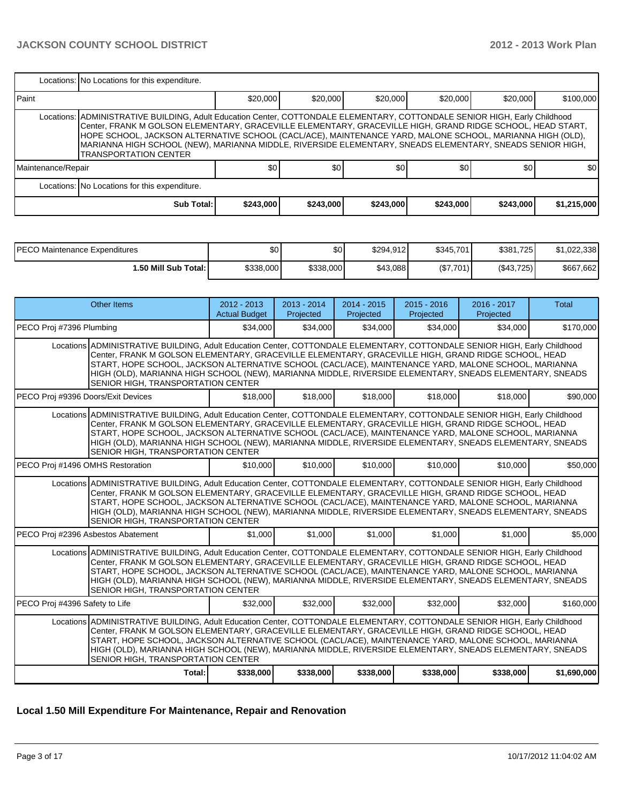|                    | Locations: No Locations for this expenditure.                                                                                                                                                                                                                                                                                                                                                                                                                                                        |           |           |           |           |           |             |  |  |  |
|--------------------|------------------------------------------------------------------------------------------------------------------------------------------------------------------------------------------------------------------------------------------------------------------------------------------------------------------------------------------------------------------------------------------------------------------------------------------------------------------------------------------------------|-----------|-----------|-----------|-----------|-----------|-------------|--|--|--|
| <b>I</b> Paint     |                                                                                                                                                                                                                                                                                                                                                                                                                                                                                                      | \$20,000  | \$20,000  | \$20,000  | \$20,000  | \$20,000  | \$100,000   |  |  |  |
|                    | Locations:   ADMINISTRATIVE BUILDING, Adult Education Center, COTTONDALE ELEMENTARY, COTTONDALE SENIOR HIGH, Early Childhood<br>Center, FRANK M GOLSON ELEMENTARY, GRACEVILLE ELEMENTARY, GRACEVILLE HIGH, GRAND RIDGE SCHOOL, HEAD START,<br>HOPE SCHOOL, JACKSON ALTERNATIVE SCHOOL (CACL/ACE), MAINTENANCE YARD, MALONE SCHOOL, MARIANNA HIGH (OLD),<br>MARIANNA HIGH SCHOOL (NEW), MARIANNA MIDDLE, RIVERSIDE ELEMENTARY, SNEADS ELEMENTARY, SNEADS SENIOR HIGH,<br><b>TRANSPORTATION CENTER</b> |           |           |           |           |           |             |  |  |  |
| Maintenance/Repair |                                                                                                                                                                                                                                                                                                                                                                                                                                                                                                      | \$0       | \$0       | \$0       | \$0       | \$0       | \$0         |  |  |  |
|                    | Locations: No Locations for this expenditure.                                                                                                                                                                                                                                                                                                                                                                                                                                                        |           |           |           |           |           |             |  |  |  |
|                    | <b>Sub Total:</b>                                                                                                                                                                                                                                                                                                                                                                                                                                                                                    | \$243,000 | \$243,000 | \$243,000 | \$243,000 | \$243,000 | \$1,215,000 |  |  |  |

| IPECO Maintenance Expenditures | \$0       | \$0       | \$294.912 | \$345,701 | \$381,725  | 1.022.338 |
|--------------------------------|-----------|-----------|-----------|-----------|------------|-----------|
| 1.50 Mill Sub Total: İ         | \$338,000 | \$338,000 | \$43.088  | (S7.701)  | (\$43.725) | \$667,662 |

| Other Items                                                                                                                                                                                                                                                                                                                                                                                                                                                                                | $2012 - 2013$<br><b>Actual Budget</b> | $2013 - 2014$<br>Projected | $2014 - 2015$<br>Projected | $2015 - 2016$<br>Projected | $2016 - 2017$<br>Projected | Total       |  |  |
|--------------------------------------------------------------------------------------------------------------------------------------------------------------------------------------------------------------------------------------------------------------------------------------------------------------------------------------------------------------------------------------------------------------------------------------------------------------------------------------------|---------------------------------------|----------------------------|----------------------------|----------------------------|----------------------------|-------------|--|--|
| PECO Proj #7396 Plumbing                                                                                                                                                                                                                                                                                                                                                                                                                                                                   | \$34,000                              | \$34,000                   | \$34,000                   | \$34,000                   | \$34,000                   | \$170,000   |  |  |
| Locations ADMINISTRATIVE BUILDING, Adult Education Center, COTTONDALE ELEMENTARY, COTTONDALE SENIOR HIGH, Early Childhood<br>Center, FRANK M GOLSON ELEMENTARY, GRACEVILLE ELEMENTARY, GRACEVILLE HIGH, GRAND RIDGE SCHOOL, HEAD<br>START, HOPE SCHOOL, JACKSON ALTERNATIVE SCHOOL (CACL/ACE), MAINTENANCE YARD, MALONE SCHOOL, MARIANNA<br>HIGH (OLD), MARIANNA HIGH SCHOOL (NEW), MARIANNA MIDDLE, RIVERSIDE ELEMENTARY, SNEADS ELEMENTARY, SNEADS<br>SENIOR HIGH, TRANSPORTATION CENTER |                                       |                            |                            |                            |                            |             |  |  |
| PECO Proj #9396 Doors/Exit Devices                                                                                                                                                                                                                                                                                                                                                                                                                                                         | \$18,000                              | \$18,000                   | \$18,000                   | \$18,000                   | \$18,000                   | \$90,000    |  |  |
| Locations ADMINISTRATIVE BUILDING, Adult Education Center, COTTONDALE ELEMENTARY, COTTONDALE SENIOR HIGH, Early Childhood<br>Center, FRANK M GOLSON ELEMENTARY, GRACEVILLE ELEMENTARY, GRACEVILLE HIGH, GRAND RIDGE SCHOOL, HEAD<br>START, HOPE SCHOOL, JACKSON ALTERNATIVE SCHOOL (CACL/ACE), MAINTENANCE YARD, MALONE SCHOOL, MARIANNA<br>HIGH (OLD), MARIANNA HIGH SCHOOL (NEW), MARIANNA MIDDLE, RIVERSIDE ELEMENTARY, SNEADS ELEMENTARY, SNEADS<br>SENIOR HIGH, TRANSPORTATION CENTER |                                       |                            |                            |                            |                            |             |  |  |
| PECO Proj #1496 OMHS Restoration                                                                                                                                                                                                                                                                                                                                                                                                                                                           | \$10,000                              | \$10,000                   | \$10,000                   | \$10,000                   | \$10,000                   | \$50,000    |  |  |
| Locations ADMINISTRATIVE BUILDING, Adult Education Center, COTTONDALE ELEMENTARY, COTTONDALE SENIOR HIGH, Early Childhood<br>Center, FRANK M GOLSON ELEMENTARY, GRACEVILLE ELEMENTARY, GRACEVILLE HIGH, GRAND RIDGE SCHOOL, HEAD<br>START, HOPE SCHOOL, JACKSON ALTERNATIVE SCHOOL (CACL/ACE), MAINTENANCE YARD, MALONE SCHOOL, MARIANNA<br>HIGH (OLD), MARIANNA HIGH SCHOOL (NEW), MARIANNA MIDDLE, RIVERSIDE ELEMENTARY, SNEADS ELEMENTARY, SNEADS<br>SENIOR HIGH, TRANSPORTATION CENTER |                                       |                            |                            |                            |                            |             |  |  |
| PECO Proj #2396 Asbestos Abatement                                                                                                                                                                                                                                                                                                                                                                                                                                                         | \$1,000                               | \$1,000                    | \$1,000                    | \$1,000                    | \$1,000                    | \$5,000     |  |  |
| Locations ADMINISTRATIVE BUILDING, Adult Education Center, COTTONDALE ELEMENTARY, COTTONDALE SENIOR HIGH, Early Childhood<br>Center, FRANK M GOLSON ELEMENTARY, GRACEVILLE ELEMENTARY, GRACEVILLE HIGH, GRAND RIDGE SCHOOL, HEAD<br>START, HOPE SCHOOL, JACKSON ALTERNATIVE SCHOOL (CACL/ACE), MAINTENANCE YARD, MALONE SCHOOL, MARIANNA<br>HIGH (OLD), MARIANNA HIGH SCHOOL (NEW), MARIANNA MIDDLE, RIVERSIDE ELEMENTARY, SNEADS ELEMENTARY, SNEADS<br>SENIOR HIGH, TRANSPORTATION CENTER |                                       |                            |                            |                            |                            |             |  |  |
| PECO Proj #4396 Safety to Life                                                                                                                                                                                                                                                                                                                                                                                                                                                             | \$32,000                              | \$32,000                   | \$32,000                   | \$32,000                   | \$32,000                   | \$160,000   |  |  |
| Locations ADMINISTRATIVE BUILDING, Adult Education Center, COTTONDALE ELEMENTARY, COTTONDALE SENIOR HIGH, Early Childhood<br>Center, FRANK M GOLSON ELEMENTARY, GRACEVILLE ELEMENTARY, GRACEVILLE HIGH, GRAND RIDGE SCHOOL, HEAD<br>START, HOPE SCHOOL, JACKSON ALTERNATIVE SCHOOL (CACL/ACE), MAINTENANCE YARD, MALONE SCHOOL, MARIANNA<br>HIGH (OLD), MARIANNA HIGH SCHOOL (NEW), MARIANNA MIDDLE, RIVERSIDE ELEMENTARY, SNEADS ELEMENTARY, SNEADS<br>SENIOR HIGH, TRANSPORTATION CENTER |                                       |                            |                            |                            |                            |             |  |  |
| Total:                                                                                                                                                                                                                                                                                                                                                                                                                                                                                     | \$338,000                             | \$338,000                  | \$338,000                  | \$338,000                  | \$338,000                  | \$1,690,000 |  |  |

# **Local 1.50 Mill Expenditure For Maintenance, Repair and Renovation**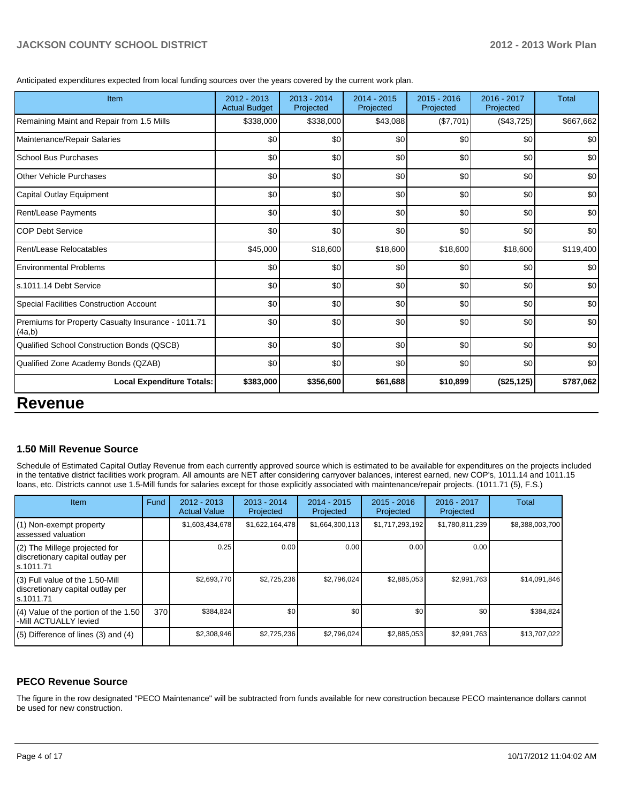Anticipated expenditures expected from local funding sources over the years covered by the current work plan.

|                                  | Projected | Projected | Projected | Projected  |           |
|----------------------------------|-----------|-----------|-----------|------------|-----------|
| \$338,000                        | \$338,000 | \$43,088  | (\$7,701) | (\$43,725) | \$667,662 |
| \$0                              | \$0       | \$0       | \$0       | \$0        | \$0       |
| \$0                              | \$0       | \$0       | \$0       | \$0        | \$0       |
| \$0                              | \$0       | \$0       | \$0       | \$0        | \$0       |
| \$0                              | \$0       | \$0       | \$0       | \$0        | \$0       |
| \$0                              | \$0       | \$0       | \$0       | \$0        | \$0       |
| \$0                              | \$0       | \$0       | \$0       | \$0        | \$0       |
| \$45,000                         | \$18,600  | \$18,600  | \$18,600  | \$18,600   | \$119,400 |
| \$0                              | \$0       | \$0       | \$0       | \$0        | \$0       |
| \$0                              | \$0       | \$0       | \$0       | \$0        | \$0       |
| \$0                              | \$0       | \$0       | \$0       | \$0        | \$0       |
| \$0                              | \$0       | \$0       | \$0       | \$0        | \$0       |
| \$0                              | \$0       | \$0       | \$0       | \$0        | \$0       |
| \$0                              | \$0       | \$0       | \$0       | \$0        | \$0       |
| \$383,000                        | \$356,600 | \$61,688  | \$10,899  | (\$25,125) | \$787,062 |
| <b>Local Expenditure Totals:</b> |           |           |           |            |           |

# **1.50 Mill Revenue Source**

Schedule of Estimated Capital Outlay Revenue from each currently approved source which is estimated to be available for expenditures on the projects included in the tentative district facilities work program. All amounts are NET after considering carryover balances, interest earned, new COP's, 1011.14 and 1011.15 loans, etc. Districts cannot use 1.5-Mill funds for salaries except for those explicitly associated with maintenance/repair projects. (1011.71 (5), F.S.)

| <b>Item</b>                                                                       | Fund | $2012 - 2013$<br><b>Actual Value</b> | $2013 - 2014$<br>Projected | $2014 - 2015$<br>Projected | $2015 - 2016$<br>Projected | $2016 - 2017$<br>Projected | Total           |
|-----------------------------------------------------------------------------------|------|--------------------------------------|----------------------------|----------------------------|----------------------------|----------------------------|-----------------|
| (1) Non-exempt property<br>assessed valuation                                     |      | \$1,603,434,678                      | \$1,622,164,478            | \$1,664,300,113            | \$1,717,293,192            | \$1,780,811,239            | \$8,388,003,700 |
| (2) The Millege projected for<br>discretionary capital outlay per<br>ls.1011.71   |      | 0.25                                 | 0.00                       | 0.00                       | 0.00                       | 0.00                       |                 |
| (3) Full value of the 1.50-Mill<br>discretionary capital outlay per<br>ls.1011.71 |      | \$2,693,770                          | \$2,725,236                | \$2,796,024                | \$2,885,053                | \$2,991,763                | \$14,091,846    |
| $(4)$ Value of the portion of the 1.50<br>-Mill ACTUALLY levied                   | 370  | \$384,824                            | \$0                        | \$0                        | \$0                        | \$0                        | \$384,824       |
| $(5)$ Difference of lines (3) and (4)                                             |      | \$2,308,946                          | \$2,725,236                | \$2,796,024                | \$2,885,053                | \$2,991,763                | \$13,707,022    |

### **PECO Revenue Source**

The figure in the row designated "PECO Maintenance" will be subtracted from funds available for new construction because PECO maintenance dollars cannot be used for new construction.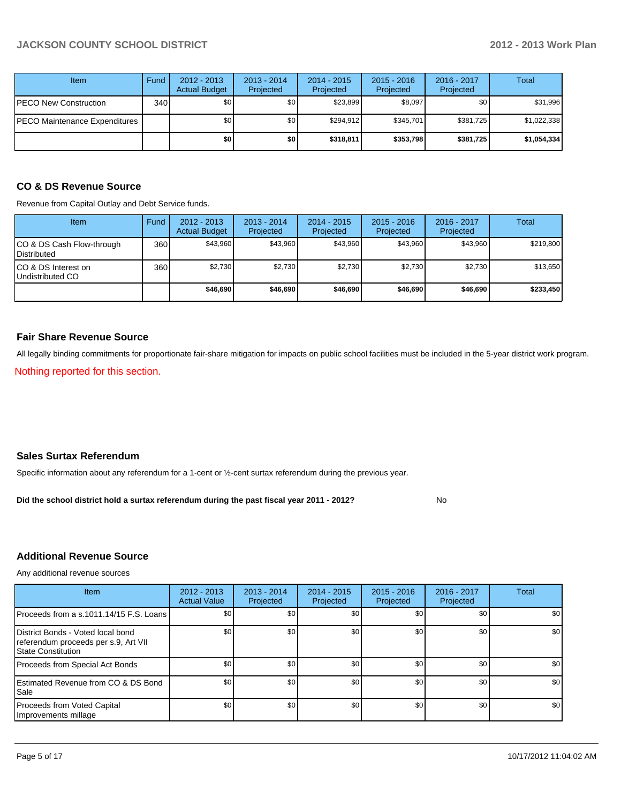| Item                          | Fund | $2012 - 2013$<br><b>Actual Budget</b> | $2013 - 2014$<br>Projected | 2014 - 2015<br>Projected | $2015 - 2016$<br>Projected | $2016 - 2017$<br>Projected | Total       |
|-------------------------------|------|---------------------------------------|----------------------------|--------------------------|----------------------------|----------------------------|-------------|
| PECO New Construction         | 340  | \$0                                   | \$0 <sub>1</sub>           | \$23,899                 | \$8,097                    | \$0 <sub>1</sub>           | \$31,996    |
| PECO Maintenance Expenditures |      | \$0                                   | \$0                        | \$294.912                | \$345.701                  | \$381,725                  | \$1,022,338 |
|                               |      | \$0                                   | \$0 I                      | \$318,811                | \$353,798                  | \$381,725                  | \$1,054,334 |

# **CO & DS Revenue Source**

Revenue from Capital Outlay and Debt Service funds.

| <b>Item</b>                                      | Fund | $2012 - 2013$<br><b>Actual Budget</b> | $2013 - 2014$<br>Projected | $2014 - 2015$<br>Projected | $2015 - 2016$<br>Projected | $2016 - 2017$<br>Projected | Total     |
|--------------------------------------------------|------|---------------------------------------|----------------------------|----------------------------|----------------------------|----------------------------|-----------|
| ICO & DS Cash Flow-through<br><b>Distributed</b> | 360  | \$43.960                              | \$43.960                   | \$43.960                   | \$43.960                   | \$43,960                   | \$219,800 |
| ICO & DS Interest on<br>Undistributed CO         | 360  | \$2,730                               | \$2,730                    | \$2,730                    | \$2.730                    | \$2,730                    | \$13,650  |
|                                                  |      | \$46,690                              | \$46,690                   | \$46,690                   | \$46,690                   | \$46,690                   | \$233,450 |

#### **Fair Share Revenue Source**

All legally binding commitments for proportionate fair-share mitigation for impacts on public school facilities must be included in the 5-year district work program.

Nothing reported for this section.

#### **Sales Surtax Referendum**

Specific information about any referendum for a 1-cent or ½-cent surtax referendum during the previous year.

No **Did the school district hold a surtax referendum during the past fiscal year 2011 - 2012?**

### **Additional Revenue Source**

Any additional revenue sources

| <b>Item</b>                                                                                            | 2012 - 2013<br><b>Actual Value</b> | $2013 - 2014$<br>Projected | $2014 - 2015$<br>Projected | $2015 - 2016$<br>Projected | 2016 - 2017<br>Projected | Total |
|--------------------------------------------------------------------------------------------------------|------------------------------------|----------------------------|----------------------------|----------------------------|--------------------------|-------|
| Proceeds from a s.1011.14/15 F.S. Loans                                                                | \$0 <sub>1</sub>                   | \$0                        | \$0                        | \$0                        | \$0                      | \$0   |
| District Bonds - Voted local bond<br>referendum proceeds per s.9, Art VII<br><b>State Constitution</b> | \$0                                | \$0                        | \$0                        | \$0                        | \$0                      | \$0   |
| Proceeds from Special Act Bonds                                                                        | \$0                                | \$0                        | \$0                        | \$0                        | \$0                      | \$0   |
| <b>Estimated Revenue from CO &amp; DS Bond</b><br><b>I</b> Sale                                        | \$0                                | \$0                        | \$0                        | \$0                        | \$0                      | \$0   |
| Proceeds from Voted Capital<br>Improvements millage                                                    | \$0                                | \$0                        | \$0                        | \$0                        | \$0 <sub>1</sub>         | \$0   |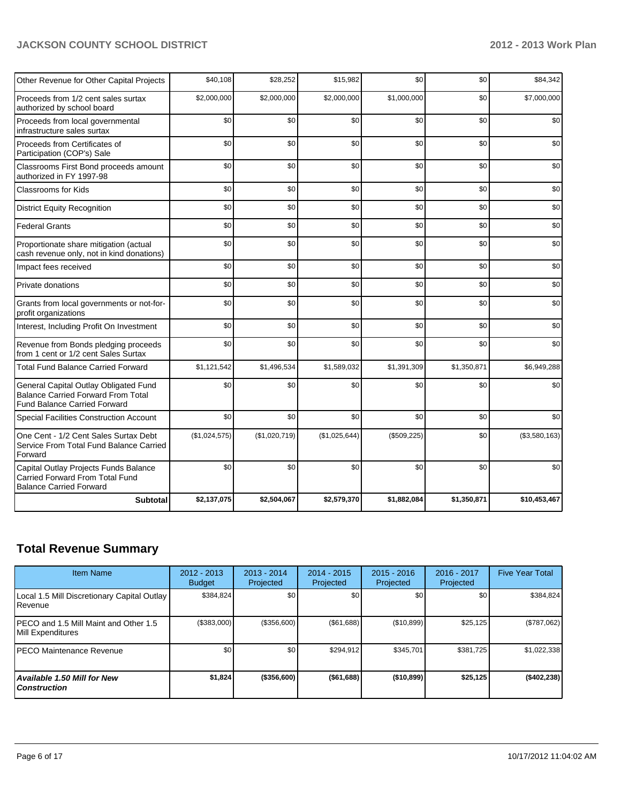| Other Revenue for Other Capital Projects                                                                                  | \$40,108      | \$28,252      | \$15,982      | \$0         | \$0         | \$84,342      |
|---------------------------------------------------------------------------------------------------------------------------|---------------|---------------|---------------|-------------|-------------|---------------|
| Proceeds from 1/2 cent sales surtax<br>authorized by school board                                                         | \$2,000,000   | \$2,000,000   | \$2,000,000   | \$1,000,000 | \$0         | \$7,000,000   |
| Proceeds from local governmental<br>infrastructure sales surtax                                                           | \$0           | \$0           | \$0           | \$0         | \$0         | \$0           |
| Proceeds from Certificates of<br>Participation (COP's) Sale                                                               | \$0           | \$0           | \$0           | \$0         | \$0         | \$0           |
| Classrooms First Bond proceeds amount<br>authorized in FY 1997-98                                                         | \$0           | \$0           | \$0           | \$0         | \$0         | \$0           |
| <b>Classrooms for Kids</b>                                                                                                | \$0           | \$0           | \$0           | \$0         | \$0         | \$0           |
| <b>District Equity Recognition</b>                                                                                        | \$0           | \$0           | \$0           | \$0         | \$0         | \$0           |
| <b>Federal Grants</b>                                                                                                     | \$0           | \$0           | \$0           | \$0         | \$0         | \$0           |
| Proportionate share mitigation (actual<br>cash revenue only, not in kind donations)                                       | \$0           | \$0           | \$0           | \$0         | \$0         | \$0           |
| Impact fees received                                                                                                      | \$0           | \$0           | \$0           | \$0         | \$0         | \$0           |
| Private donations                                                                                                         | \$0           | \$0           | \$0           | \$0         | \$0         | \$0           |
| Grants from local governments or not-for-<br>profit organizations                                                         | \$0           | \$0           | \$0           | \$0         | \$0         | \$0           |
| Interest, Including Profit On Investment                                                                                  | \$0           | \$0           | \$0           | \$0         | \$0         | \$0           |
| Revenue from Bonds pledging proceeds<br>from 1 cent or 1/2 cent Sales Surtax                                              | \$0           | \$0           | \$0           | \$0         | \$0         | \$0           |
| <b>Total Fund Balance Carried Forward</b>                                                                                 | \$1,121,542   | \$1,496,534   | \$1,589,032   | \$1,391,309 | \$1,350,871 | \$6,949,288   |
| General Capital Outlay Obligated Fund<br><b>Balance Carried Forward From Total</b><br><b>Fund Balance Carried Forward</b> | \$0           | \$0           | \$0           | \$0         | \$0         | \$0           |
| Special Facilities Construction Account                                                                                   | \$0           | \$0           | \$0           | \$0         | \$0         | \$0           |
| One Cent - 1/2 Cent Sales Surtax Debt<br>Service From Total Fund Balance Carried<br>Forward                               | (\$1,024,575) | (\$1,020,719) | (\$1,025,644) | (\$509,225) | \$0         | (\$3,580,163) |
| Capital Outlay Projects Funds Balance<br>Carried Forward From Total Fund<br><b>Balance Carried Forward</b>                | \$0           | \$0           | \$0           | \$0         | \$0         | \$0           |
| <b>Subtotal</b>                                                                                                           | \$2,137,075   | \$2,504,067   | \$2,579,370   | \$1,882,084 | \$1,350,871 | \$10,453,467  |

# **Total Revenue Summary**

| <b>Item Name</b>                                                | 2012 - 2013<br><b>Budget</b> | $2013 - 2014$<br>Projected | $2014 - 2015$<br>Projected | $2015 - 2016$<br>Projected | 2016 - 2017<br>Projected | <b>Five Year Total</b> |
|-----------------------------------------------------------------|------------------------------|----------------------------|----------------------------|----------------------------|--------------------------|------------------------|
| Local 1.5 Mill Discretionary Capital Outlay<br><b>I</b> Revenue | \$384,824                    | \$0                        | \$0                        | \$0                        | \$0                      | \$384,824              |
| IPECO and 1.5 Mill Maint and Other 1.5<br>Mill Expenditures     | (\$383,000)                  | (\$356,600)                | (\$61,688)                 | (\$10,899)                 | \$25,125                 | (\$787,062)            |
| IPECO Maintenance Revenue                                       | \$0                          | \$0                        | \$294,912                  | \$345,701                  | \$381,725                | \$1,022,338            |
| Available 1.50 Mill for New l<br>l Construction                 | \$1,824                      | $($ \$356,600) $ $         | ( \$61, 688)               | (\$10,899)                 | \$25,125                 | (\$402,238)            |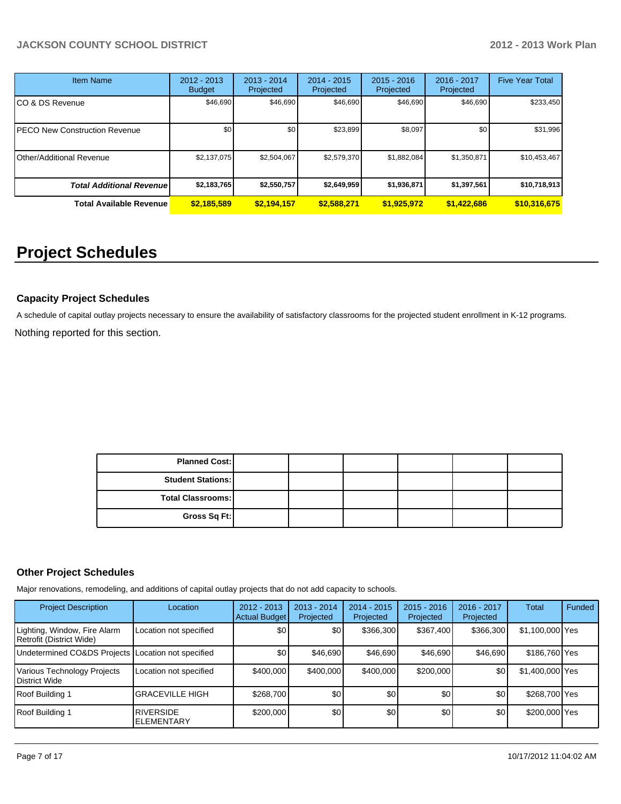| <b>Item Name</b>                 | 2012 - 2013<br><b>Budget</b> | $2013 - 2014$<br>Projected | $2014 - 2015$<br>Projected | $2015 - 2016$<br>Projected | 2016 - 2017<br>Projected | <b>Five Year Total</b> |
|----------------------------------|------------------------------|----------------------------|----------------------------|----------------------------|--------------------------|------------------------|
| ICO & DS Revenue                 | \$46,690                     | \$46,690                   | \$46,690                   | \$46,690                   | \$46,690                 | \$233,450              |
| IPECO New Construction Revenue   | \$0                          | \$0                        | \$23,899                   | \$8,097                    | \$0 <sub>1</sub>         | \$31,996               |
| IOther/Additional Revenue        | \$2,137,075                  | \$2,504,067                | \$2,579,370                | \$1,882,084                | \$1,350,871              | \$10,453,467           |
| <b>Total Additional Revenuel</b> | \$2,183,765                  | \$2,550,757                | \$2,649,959                | \$1,936,871                | \$1,397,561              | \$10,718,913           |
| <b>Total Available Revenue</b>   | \$2,185,589                  | \$2,194,157                | \$2,588,271                | \$1,925,972                | \$1,422,686              | \$10,316,675           |

# **Project Schedules**

### **Capacity Project Schedules**

Nothing reported for this section. A schedule of capital outlay projects necessary to ensure the availability of satisfactory classrooms for the projected student enrollment in K-12 programs.

| <b>Planned Cost:</b>     |  |  |  |
|--------------------------|--|--|--|
| <b>Student Stations:</b> |  |  |  |
| <b>Total Classrooms:</b> |  |  |  |
| Gross Sq Ft:             |  |  |  |

#### **Other Project Schedules**

Major renovations, remodeling, and additions of capital outlay projects that do not add capacity to schools.

| <b>Project Description</b>                               | Location                              | $2012 - 2013$<br>Actual Budget | $2013 - 2014$<br>Projected | $2014 - 2015$<br>Projected | $2015 - 2016$<br>Projected | 2016 - 2017<br>Projected | Total           | Funded |
|----------------------------------------------------------|---------------------------------------|--------------------------------|----------------------------|----------------------------|----------------------------|--------------------------|-----------------|--------|
| Lighting, Window, Fire Alarm<br>Retrofit (District Wide) | Location not specified                | \$0 <sub>0</sub>               | \$0                        | \$366,300                  | \$367,400                  | \$366,300                | \$1,100,000 Yes |        |
| Undetermined CO&DS Projects Location not specified       |                                       | \$0                            | \$46,690                   | \$46,690                   | \$46,690                   | \$46,690                 | \$186,760 Yes   |        |
| Various Technology Projects<br>District Wide             | Location not specified                | \$400,000                      | \$400,000                  | \$400,000                  | \$200,000                  | \$0                      | \$1,400,000 Yes |        |
| Roof Building 1                                          | <b>GRACEVILLE HIGH</b>                | \$268,700                      | \$0                        | \$0                        | \$0 <sub>1</sub>           | \$0                      | \$268,700 Yes   |        |
| Roof Building 1                                          | <b>RIVERSIDE</b><br><b>ELEMENTARY</b> | \$200,000                      | \$0                        | \$0                        | \$0                        | \$0 <sub>1</sub>         | \$200,000 Yes   |        |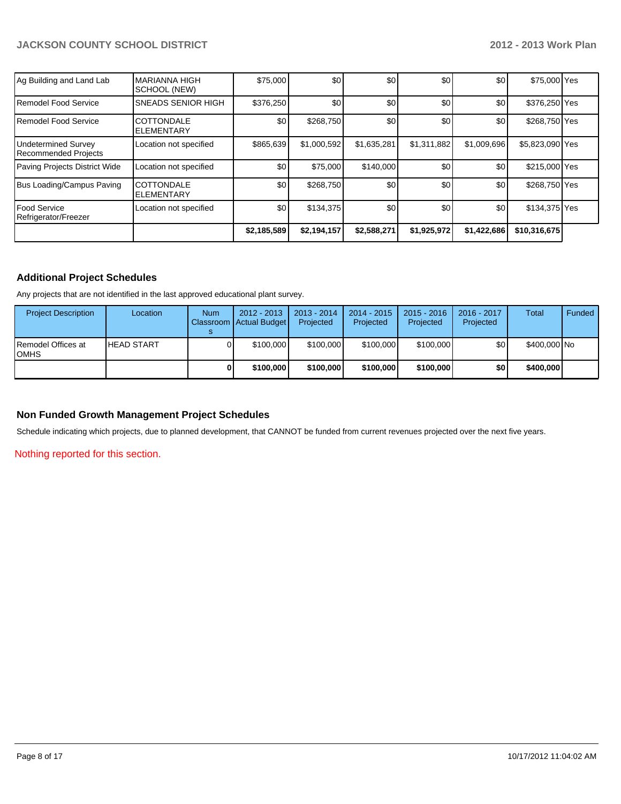| Ag Building and Land Lab                    | <b>MARIANNA HIGH</b><br>SCHOOL (NEW)   | \$75,000    | \$0         | \$0         | \$0         | \$0         | \$75,000 Yes    |  |
|---------------------------------------------|----------------------------------------|-------------|-------------|-------------|-------------|-------------|-----------------|--|
| Remodel Food Service                        | <b>SNEADS SENIOR HIGH</b>              | \$376.250   | \$0         | \$0         | \$0         | \$0         | \$376,250 Yes   |  |
| Remodel Food Service                        | COTTONDALE<br><b>ELEMENTARY</b>        | \$0         | \$268,750   | \$0         | \$0         | \$0         | \$268,750 Yes   |  |
| Undetermined Survey<br>Recommended Projects | Location not specified                 | \$865,639   | \$1,000,592 | \$1,635,281 | \$1,311,882 | \$1,009,696 | \$5,823,090 Yes |  |
| Paving Projects District Wide               | Location not specified                 | \$0         | \$75,000    | \$140,000   | \$0         | \$0         | \$215,000 Yes   |  |
| Bus Loading/Campus Paving                   | <b>COTTONDALE</b><br><b>ELEMENTARY</b> | \$0         | \$268,750   | \$0         | \$0         | \$0         | \$268,750 Yes   |  |
| l Food Service<br>Refrigerator/Freezer      | Location not specified                 | \$0         | \$134,375   | \$0         | \$0         | \$0         | \$134,375 Yes   |  |
|                                             |                                        | \$2,185,589 | \$2,194,157 | \$2,588,271 | \$1,925,972 | \$1,422,686 | \$10,316,675    |  |

### **Additional Project Schedules**

Any projects that are not identified in the last approved educational plant survey.

| <b>Project Description</b>   | Location          | <b>Num</b> | $2012 - 2013$<br>Classroom   Actual Budget | $2013 - 2014$<br>Projected | $2014 - 2015$<br>Projected | $2015 - 2016$<br>Projected | 2016 - 2017<br>Projected | <b>Total</b> | <b>Funded</b> |
|------------------------------|-------------------|------------|--------------------------------------------|----------------------------|----------------------------|----------------------------|--------------------------|--------------|---------------|
| IRemodel Offices at<br>IOMHS | <b>HEAD START</b> |            | \$100,000                                  | \$100,000                  | \$100,000                  | \$100,000                  | \$0                      | \$400,000 No |               |
|                              |                   |            | \$100,000                                  | \$100,000                  | \$100,000                  | \$100,000                  | \$0                      | \$400,000    |               |

# **Non Funded Growth Management Project Schedules**

Schedule indicating which projects, due to planned development, that CANNOT be funded from current revenues projected over the next five years.

Nothing reported for this section.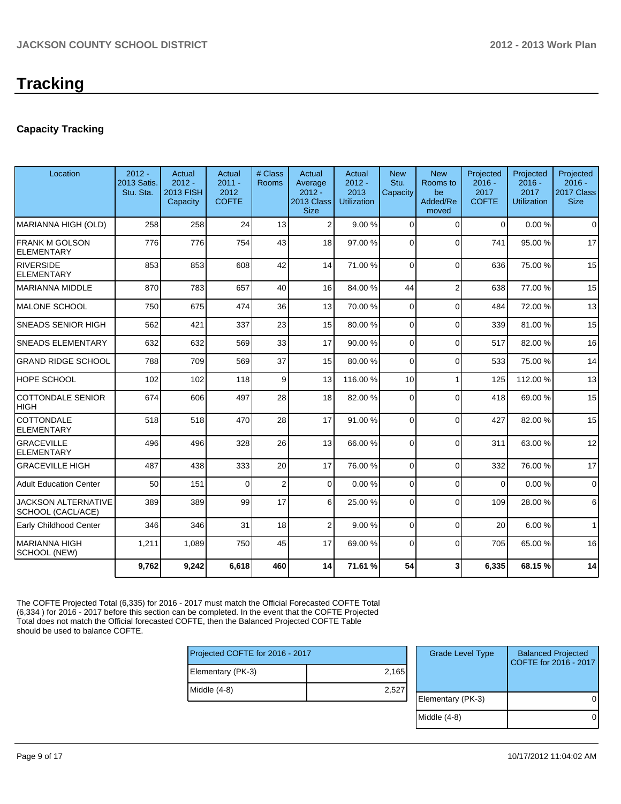# **Capacity Tracking**

| Location                                        | $2012 -$<br>2013 Satis.<br>Stu. Sta. | Actual<br>$2012 -$<br><b>2013 FISH</b><br>Capacity | Actual<br>$2011 -$<br>2012<br><b>COFTE</b> | # Class<br>Rooms | Actual<br>Average<br>$2012 -$<br>2013 Class<br><b>Size</b> | Actual<br>$2012 -$<br>2013<br><b>Utilization</b> | <b>New</b><br>Stu.<br>Capacity | <b>New</b><br>Rooms to<br>be<br>Added/Re<br>moved | Projected<br>$2016 -$<br>2017<br><b>COFTE</b> | Projected<br>$2016 -$<br>2017<br><b>Utilization</b> | Projected<br>$2016 -$<br>2017 Class<br><b>Size</b> |
|-------------------------------------------------|--------------------------------------|----------------------------------------------------|--------------------------------------------|------------------|------------------------------------------------------------|--------------------------------------------------|--------------------------------|---------------------------------------------------|-----------------------------------------------|-----------------------------------------------------|----------------------------------------------------|
| MARIANNA HIGH (OLD)                             | 258                                  | 258                                                | 24                                         | 13               | $\overline{2}$                                             | 9.00%                                            | 0                              | $\Omega$                                          | $\mathbf 0$                                   | 0.00%                                               | $\Omega$                                           |
| <b>FRANK M GOLSON</b><br><b>ELEMENTARY</b>      | 776                                  | 776                                                | 754                                        | 43               | 18                                                         | 97.00 %                                          | $\Omega$                       | $\Omega$                                          | 741                                           | 95.00 %                                             | 17                                                 |
| <b>RIVERSIDE</b><br><b>ELEMENTARY</b>           | 853                                  | 853                                                | 608                                        | 42               | 14                                                         | 71.00 %                                          | $\mathbf{0}$                   | $\Omega$                                          | 636                                           | 75.00 %                                             | 15                                                 |
| MARIANNA MIDDLE                                 | 870                                  | 783                                                | 657                                        | 40               | 16                                                         | 84.00 %                                          | 44                             | $\overline{2}$                                    | 638                                           | 77.00 %                                             | 15                                                 |
| IMALONE SCHOOL                                  | 750                                  | 675                                                | 474                                        | 36               | 13                                                         | 70.00 %                                          | 0                              | $\Omega$                                          | 484                                           | 72.00 %                                             | 13                                                 |
| <b>SNEADS SENIOR HIGH</b>                       | 562                                  | 421                                                | 337                                        | 23               | 15                                                         | 80.00 %                                          | $\Omega$                       | $\Omega$                                          | 339                                           | 81.00%                                              | 15                                                 |
| <b>SNEADS ELEMENTARY</b>                        | 632                                  | 632                                                | 569                                        | 33               | 17                                                         | 90.00 %                                          | $\Omega$                       | $\Omega$                                          | 517                                           | 82.00%                                              | 16                                                 |
| <b>GRAND RIDGE SCHOOL</b>                       | 788                                  | 709                                                | 569                                        | 37               | 15                                                         | 80.00 %                                          | $\Omega$                       | $\Omega$                                          | 533                                           | 75.00 %                                             | 14                                                 |
| <b>HOPE SCHOOL</b>                              | 102                                  | 102                                                | 118                                        | 9                | 13                                                         | 116.00 %                                         | 10 <sup>1</sup>                | 1                                                 | 125                                           | 112.00%                                             | 13                                                 |
| <b>COTTONDALE SENIOR</b><br><b>HIGH</b>         | 674                                  | 606                                                | 497                                        | 28               | 18                                                         | 82.00 %                                          | $\Omega$                       | $\Omega$                                          | 418                                           | 69.00 %                                             | 15                                                 |
| COTTONDALE<br><b>ELEMENTARY</b>                 | 518                                  | 518                                                | 470                                        | 28               | 17                                                         | 91.00 %                                          | $\Omega$                       | $\Omega$                                          | 427                                           | 82.00 %                                             | 15                                                 |
| <b>GRACEVILLE</b><br><b>ELEMENTARY</b>          | 496                                  | 496                                                | 328                                        | 26               | 13                                                         | 66.00 %                                          | $\Omega$                       | $\Omega$                                          | 311                                           | 63.00 %                                             | 12                                                 |
| <b>GRACEVILLE HIGH</b>                          | 487                                  | 438                                                | 333                                        | 20               | 17                                                         | 76.00 %                                          | $\Omega$                       | $\Omega$                                          | 332                                           | 76.00%                                              | 17                                                 |
| <b>Adult Education Center</b>                   | 50                                   | 151                                                | $\Omega$                                   | 2                | 0                                                          | 0.00 %                                           | $\overline{0}$                 | $\Omega$                                          | $\mathbf 0$                                   | 0.00%                                               | $\mathbf 0$                                        |
| <b>JACKSON ALTERNATIVE</b><br>SCHOOL (CACL/ACE) | 389                                  | 389                                                | 99                                         | 17               | 6                                                          | 25.00 %                                          | $\Omega$                       | $\Omega$                                          | 109                                           | 28.00 %                                             | 6                                                  |
| Early Childhood Center                          | 346                                  | 346                                                | 31                                         | 18               | $\overline{2}$                                             | 9.00 %                                           | $\Omega$                       | $\Omega$                                          | 20                                            | 6.00%                                               | $\mathbf{1}$                                       |
| MARIANNA HIGH<br>SCHOOL (NEW)                   | 1,211                                | 1,089                                              | 750                                        | 45               | 17                                                         | 69.00 %                                          | $\Omega$                       | $\Omega$                                          | 705                                           | 65.00 %                                             | 16                                                 |
|                                                 | 9,762                                | 9,242                                              | 6,618                                      | 460              | 14                                                         | 71.61 %                                          | 54                             | 3                                                 | 6,335                                         | 68.15%                                              | 14                                                 |

The COFTE Projected Total (6,335) for 2016 - 2017 must match the Official Forecasted COFTE Total (6,334 ) for 2016 - 2017 before this section can be completed. In the event that the COFTE Projected Total does not match the Official forecasted COFTE, then the Balanced Projected COFTE Table should be used to balance COFTE.

| Projected COFTE for 2016 - 2017 |       |  |  |  |  |
|---------------------------------|-------|--|--|--|--|
| Elementary (PK-3)               | 2,165 |  |  |  |  |
| Middle $(4-8)$                  | 2,527 |  |  |  |  |
|                                 |       |  |  |  |  |

| <b>Grade Level Type</b> | <b>Balanced Projected</b><br>COFTE for 2016 - 2017 |
|-------------------------|----------------------------------------------------|
| Elementary (PK-3)       |                                                    |
| Middle $(4-8)$          |                                                    |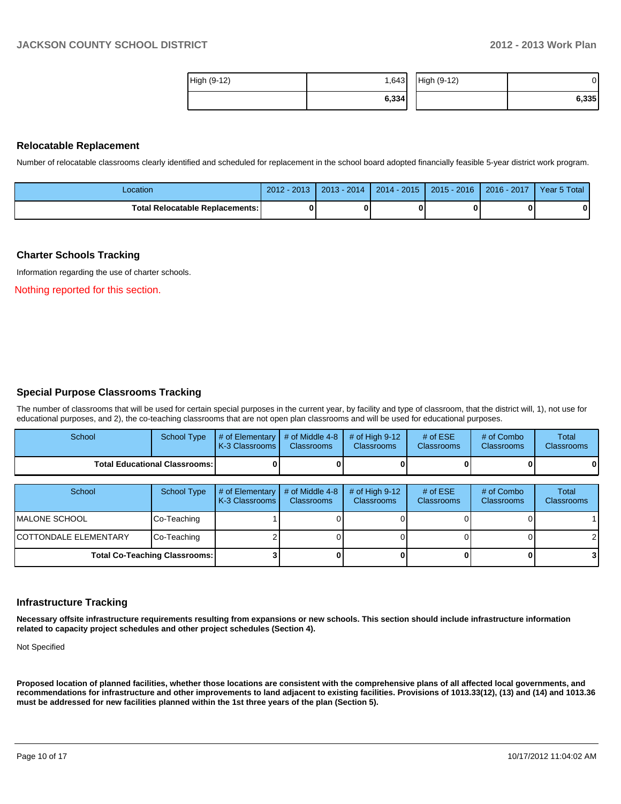| High (9-12) | 1,643 | High (9-12) | ЭI    |
|-------------|-------|-------------|-------|
|             | 6,334 |             | 6,335 |

#### **Relocatable Replacement**

Number of relocatable classrooms clearly identified and scheduled for replacement in the school board adopted financially feasible 5-year district work program.

| Location                          | $-2013$<br>$2012 -$ | $2013 - 2014$ | $2014 - 2015$ | $2015 - 2016$ | $2016 - 2017$ | Year 5 Total |
|-----------------------------------|---------------------|---------------|---------------|---------------|---------------|--------------|
| Total Relocatable Replacements: I |                     |               |               |               |               |              |

#### **Charter Schools Tracking**

Information regarding the use of charter schools.

Nothing reported for this section.

#### **Special Purpose Classrooms Tracking**

The number of classrooms that will be used for certain special purposes in the current year, by facility and type of classroom, that the district will, 1), not use for educational purposes, and 2), the co-teaching classrooms that are not open plan classrooms and will be used for educational purposes.

| School                          | School Type | $\parallel$ # of Elementary $\parallel$ # of Middle 4-8 $\parallel$ # of High 9-12<br>K-3 Classrooms I | <b>Classrooms</b> | <b>Classrooms</b> | # of $ESE$<br><b>Classrooms</b> | # of Combo<br><b>Classrooms</b> | Total<br><b>Classrooms</b> |
|---------------------------------|-------------|--------------------------------------------------------------------------------------------------------|-------------------|-------------------|---------------------------------|---------------------------------|----------------------------|
| Total Educational Classrooms: I |             |                                                                                                        |                   |                   |                                 | 0                               | 0                          |

| School                               | School Type | $\#$ of Elementary $\#$ of Middle 4-8<br>K-3 Classrooms | <b>Classrooms</b> | # of High $9-12$<br><b>Classrooms</b> | # of $ESE$<br><b>Classrooms</b> | # of Combo<br><b>Classrooms</b> | Total<br><b>Classrooms</b> |
|--------------------------------------|-------------|---------------------------------------------------------|-------------------|---------------------------------------|---------------------------------|---------------------------------|----------------------------|
| MALONE SCHOOL                        | Co-Teaching |                                                         |                   |                                       |                                 |                                 |                            |
| COTTONDALE ELEMENTARY                | Co-Teaching |                                                         |                   |                                       |                                 |                                 |                            |
| <b>Total Co-Teaching Classrooms:</b> |             |                                                         |                   |                                       |                                 |                                 |                            |

#### **Infrastructure Tracking**

**Necessary offsite infrastructure requirements resulting from expansions or new schools. This section should include infrastructure information related to capacity project schedules and other project schedules (Section 4).**

Not Specified

**Proposed location of planned facilities, whether those locations are consistent with the comprehensive plans of all affected local governments, and recommendations for infrastructure and other improvements to land adjacent to existing facilities. Provisions of 1013.33(12), (13) and (14) and 1013.36 must be addressed for new facilities planned within the 1st three years of the plan (Section 5).**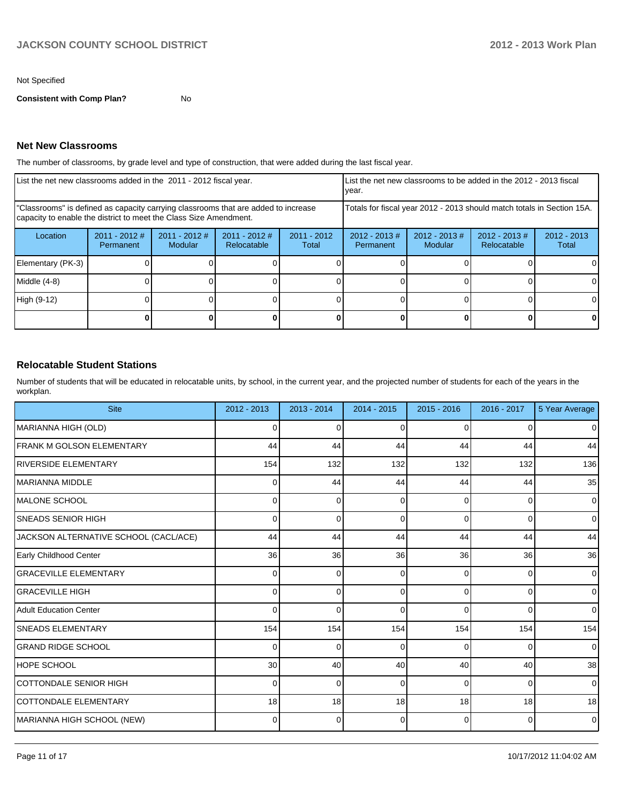Not Specified

**Consistent with Comp Plan?** No

### **Net New Classrooms**

The number of classrooms, by grade level and type of construction, that were added during the last fiscal year.

| List the net new classrooms added in the 2011 - 2012 fiscal year.                                                                                       |                              |                          |                                | List the net new classrooms to be added in the 2012 - 2013 fiscal<br>Ivear. |                              |                            |                                |                        |
|---------------------------------------------------------------------------------------------------------------------------------------------------------|------------------------------|--------------------------|--------------------------------|-----------------------------------------------------------------------------|------------------------------|----------------------------|--------------------------------|------------------------|
| "Classrooms" is defined as capacity carrying classrooms that are added to increase<br>capacity to enable the district to meet the Class Size Amendment. |                              |                          |                                | Totals for fiscal year 2012 - 2013 should match totals in Section 15A.      |                              |                            |                                |                        |
| Location                                                                                                                                                | $2011 - 2012$ #<br>Permanent | 2011 - 2012 #<br>Modular | $2011 - 2012$ #<br>Relocatable | $2011 - 2012$<br>Total                                                      | $2012 - 2013$ #<br>Permanent | $2012 - 2013$ #<br>Modular | $2012 - 2013$ #<br>Relocatable | $2012 - 2013$<br>Total |
| Elementary (PK-3)                                                                                                                                       |                              |                          |                                |                                                                             |                              |                            |                                | $\Omega$               |
| Middle (4-8)                                                                                                                                            |                              |                          |                                |                                                                             |                              |                            |                                | 0                      |
| High (9-12)                                                                                                                                             |                              |                          |                                |                                                                             |                              |                            |                                | $\Omega$               |
|                                                                                                                                                         |                              |                          |                                |                                                                             |                              |                            | 0                              | $\mathbf{0}$           |

### **Relocatable Student Stations**

Number of students that will be educated in relocatable units, by school, in the current year, and the projected number of students for each of the years in the workplan.

| <b>Site</b>                           | 2012 - 2013 | 2013 - 2014 | 2014 - 2015 | $2015 - 2016$  | 2016 - 2017    | 5 Year Average |
|---------------------------------------|-------------|-------------|-------------|----------------|----------------|----------------|
| MARIANNA HIGH (OLD)                   | 0           | 0           | ∩           | <sup>0</sup>   | 0              | $\overline{0}$ |
| FRANK M GOLSON ELEMENTARY             | 44          | 44          | 44          | 44             | 44             | 44             |
| <b>RIVERSIDE ELEMENTARY</b>           | 154         | 132         | 132         | 132            | 132            | 136            |
| <b>IMARIANNA MIDDLE</b>               | 0           | 44          | 44          | 44             | 44             | 35             |
| <b>IMALONE SCHOOL</b>                 | 0           | 0           | $\Omega$    | 0              | 0              | $\mathbf{0}$   |
| <b>SNEADS SENIOR HIGH</b>             | 0           | 0           | $\Omega$    | $\Omega$       | $\Omega$       | $\Omega$       |
| JACKSON ALTERNATIVE SCHOOL (CACL/ACE) | 44          | 44          | 44          | 44             | 44             | 44             |
| Early Childhood Center                | 36          | 36          | 36          | 36             | 36             | 36             |
| <b>GRACEVILLE ELEMENTARY</b>          | 0           | 0           | $\Omega$    | 0              | $\Omega$       | $\mathbf{0}$   |
| <b>GRACEVILLE HIGH</b>                | 0           | 0           | $\Omega$    | $\Omega$       | $\Omega$       | $\overline{0}$ |
| <b>Adult Education Center</b>         | 0           | $\Omega$    | ∩           | $\Omega$       | $\Omega$       | $\mathbf{0}$   |
| <b>SNEADS ELEMENTARY</b>              | 154         | 154         | 154         | 154            | 154            | 154            |
| <b>GRAND RIDGE SCHOOL</b>             | 0           | $\Omega$    | $\Omega$    | 0              | $\overline{0}$ | $\mathbf{0}$   |
| <b>HOPE SCHOOL</b>                    | 30          | 40          | 40          | 40             | 40             | 38             |
| <b>COTTONDALE SENIOR HIGH</b>         | 0           | 0           | $\Omega$    | $\Omega$       | $\overline{0}$ | $\mathbf{0}$   |
| COTTONDALE ELEMENTARY                 | 18          | 18          | 18          | 18             | 18             | 18             |
| MARIANNA HIGH SCHOOL (NEW)            | 0           | $\Omega$    | 0           | $\overline{0}$ | $\overline{0}$ | $\overline{0}$ |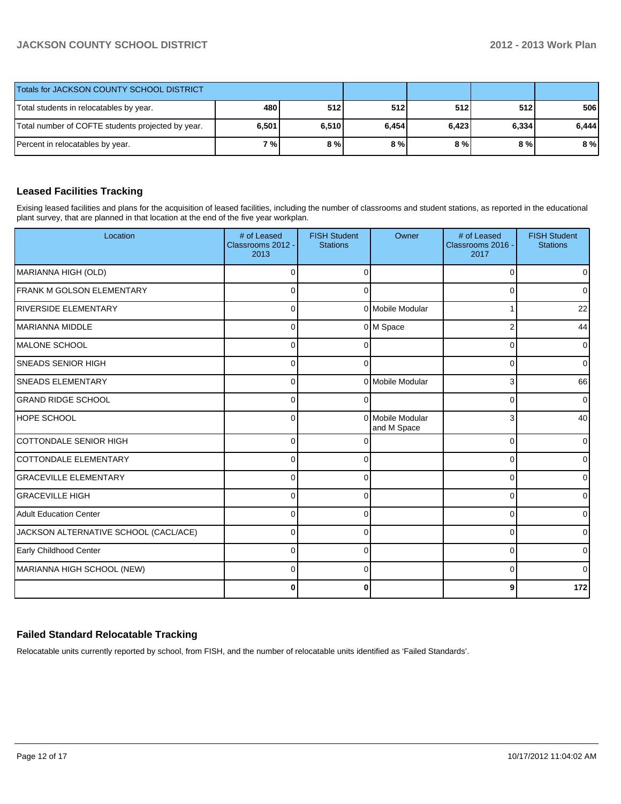| Totals for JACKSON COUNTY SCHOOL DISTRICT         |       |       |            |       |       |       |
|---------------------------------------------------|-------|-------|------------|-------|-------|-------|
| Total students in relocatables by year.           | 480   | 512   | <b>512</b> | 512   | 512   | 506   |
| Total number of COFTE students projected by year. | 6,501 | 6,510 | 6,454      | 6,423 | 6,334 | 6,444 |
| Percent in relocatables by year.                  | 7 % l | 8%    | 8%         | 8 % I | 8%    | 8%    |

### **Leased Facilities Tracking**

Exising leased facilities and plans for the acquisition of leased facilities, including the number of classrooms and student stations, as reported in the educational plant survey, that are planned in that location at the end of the five year workplan.

| Location                              | # of Leased<br>Classrooms 2012 -<br>2013 | <b>FISH Student</b><br><b>Stations</b> | Owner                           | # of Leased<br>Classrooms 2016 -<br>2017 | <b>FISH Student</b><br><b>Stations</b> |
|---------------------------------------|------------------------------------------|----------------------------------------|---------------------------------|------------------------------------------|----------------------------------------|
| MARIANNA HIGH (OLD)                   | $\Omega$                                 | $\Omega$                               |                                 | $\Omega$                                 | $\overline{0}$                         |
| <b>IFRANK M GOLSON ELEMENTARY</b>     | $\Omega$                                 | $\Omega$                               |                                 | ∩                                        | $\overline{0}$                         |
| <b>RIVERSIDE ELEMENTARY</b>           | 0                                        |                                        | 0 Mobile Modular                |                                          | 22                                     |
| IMARIANNA MIDDLE                      | $\overline{0}$                           |                                        | 0 M Space                       | 2                                        | 44                                     |
| IMALONE SCHOOL                        | $\Omega$                                 | 0                                      |                                 | 0                                        | $\overline{0}$                         |
| <b>SNEADS SENIOR HIGH</b>             | $\Omega$                                 |                                        |                                 | C                                        | $\overline{0}$                         |
| <b>SNEADS ELEMENTARY</b>              | $\Omega$                                 |                                        | 0 Mobile Modular                | 3                                        | 66                                     |
| <b>GRAND RIDGE SCHOOL</b>             | $\Omega$                                 | $\Omega$                               |                                 | $\Omega$                                 | $\overline{0}$                         |
| <b>IHOPE SCHOOL</b>                   | $\Omega$                                 |                                        | 0 Mobile Modular<br>and M Space | 3                                        | 40                                     |
| <b>COTTONDALE SENIOR HIGH</b>         | $\Omega$                                 |                                        |                                 | $\Omega$                                 | $\overline{0}$                         |
| COTTONDALE ELEMENTARY                 | $\Omega$                                 | $\Omega$                               |                                 | $\Omega$                                 | $\overline{0}$                         |
| <b>GRACEVILLE ELEMENTARY</b>          | $\Omega$                                 | $\Omega$                               |                                 | 0                                        | $\overline{0}$                         |
| <b>GRACEVILLE HIGH</b>                | $\Omega$                                 | $\Omega$                               |                                 | 0                                        | $\overline{0}$                         |
| <b>Adult Education Center</b>         | $\Omega$                                 | $\Omega$                               |                                 | $\Omega$                                 | $\overline{0}$                         |
| JACKSON ALTERNATIVE SCHOOL (CACL/ACE) | $\Omega$                                 | ∩                                      |                                 | 0                                        | $\overline{0}$                         |
| Early Childhood Center                | $\Omega$                                 | ∩                                      |                                 | C                                        | $\overline{0}$                         |
| MARIANNA HIGH SCHOOL (NEW)            | $\Omega$                                 | $\Omega$                               |                                 | $\Omega$                                 | $\Omega$                               |
|                                       | 0                                        | O                                      |                                 | 9                                        | 172                                    |

# **Failed Standard Relocatable Tracking**

Relocatable units currently reported by school, from FISH, and the number of relocatable units identified as 'Failed Standards'.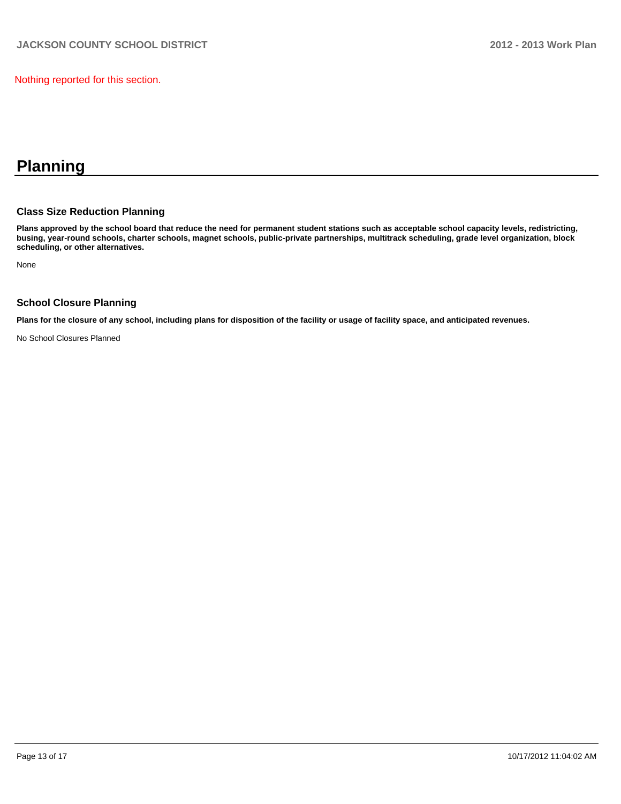Nothing reported for this section.

# **Planning**

#### **Class Size Reduction Planning**

**Plans approved by the school board that reduce the need for permanent student stations such as acceptable school capacity levels, redistricting, busing, year-round schools, charter schools, magnet schools, public-private partnerships, multitrack scheduling, grade level organization, block scheduling, or other alternatives.**

None

#### **School Closure Planning**

**Plans for the closure of any school, including plans for disposition of the facility or usage of facility space, and anticipated revenues.**

No School Closures Planned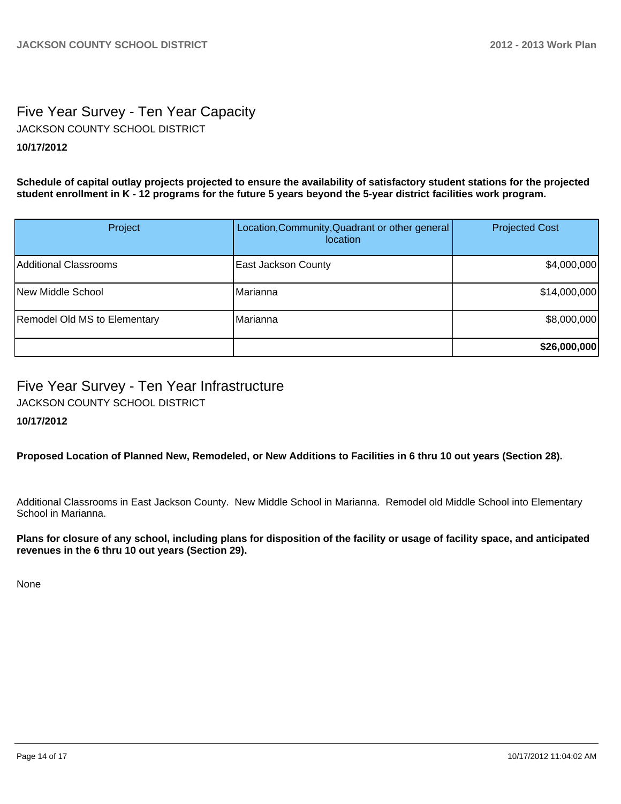# Five Year Survey - Ten Year Capacity JACKSON COUNTY SCHOOL DISTRICT

# **10/17/2012**

**Schedule of capital outlay projects projected to ensure the availability of satisfactory student stations for the projected student enrollment in K - 12 programs for the future 5 years beyond the 5-year district facilities work program.**

| Project                             | Location, Community, Quadrant or other general<br><i>location</i> | <b>Projected Cost</b> |
|-------------------------------------|-------------------------------------------------------------------|-----------------------|
| Additional Classrooms               | <b>East Jackson County</b>                                        | \$4,000,000           |
| New Middle School                   | Marianna                                                          | \$14,000,000          |
| <b>Remodel Old MS to Elementary</b> | Marianna                                                          | \$8,000,000           |
|                                     |                                                                   | \$26,000,000          |

# Five Year Survey - Ten Year Infrastructure

JACKSON COUNTY SCHOOL DISTRICT

# **10/17/2012**

**Proposed Location of Planned New, Remodeled, or New Additions to Facilities in 6 thru 10 out years (Section 28).**

Additional Classrooms in East Jackson County. New Middle School in Marianna. Remodel old Middle School into Elementary School in Marianna.

**Plans for closure of any school, including plans for disposition of the facility or usage of facility space, and anticipated revenues in the 6 thru 10 out years (Section 29).**

None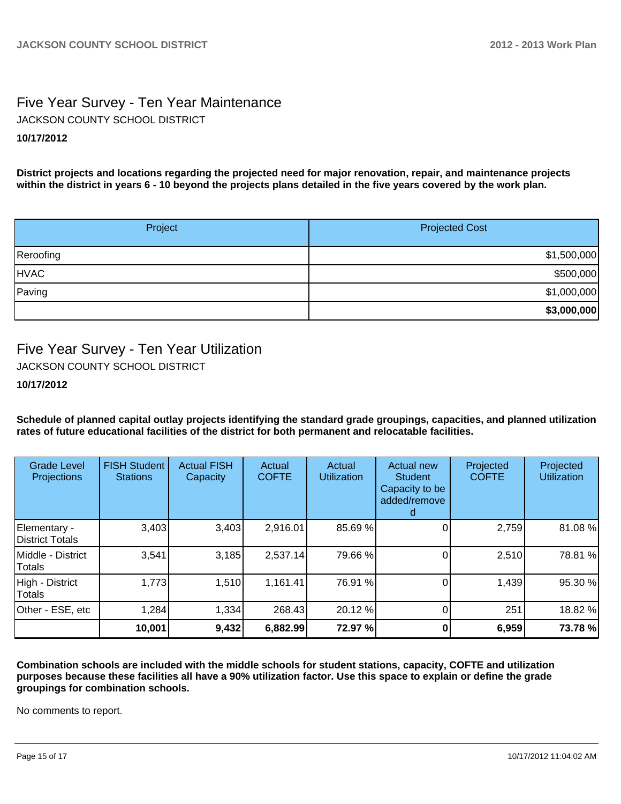# Five Year Survey - Ten Year Maintenance JACKSON COUNTY SCHOOL DISTRICT

### **10/17/2012**

**District projects and locations regarding the projected need for major renovation, repair, and maintenance projects within the district in years 6 - 10 beyond the projects plans detailed in the five years covered by the work plan.**

| Project     | <b>Projected Cost</b> |
|-------------|-----------------------|
| Reroofing   | \$1,500,000           |
| <b>HVAC</b> | \$500,000             |
| Paving      | \$1,000,000           |
|             | \$3,000,000           |

# Five Year Survey - Ten Year Utilization

JACKSON COUNTY SCHOOL DISTRICT

### **10/17/2012**

**Schedule of planned capital outlay projects identifying the standard grade groupings, capacities, and planned utilization rates of future educational facilities of the district for both permanent and relocatable facilities.**

| <b>Grade Level</b><br>Projections      | <b>FISH Student</b><br><b>Stations</b> | <b>Actual FISH</b><br>Capacity | Actual<br><b>COFTE</b> | Actual<br><b>Utilization</b> | <b>Actual new</b><br><b>Student</b><br>Capacity to be<br>added/remove | Projected<br><b>COFTE</b> | Projected<br><b>Utilization</b> |
|----------------------------------------|----------------------------------------|--------------------------------|------------------------|------------------------------|-----------------------------------------------------------------------|---------------------------|---------------------------------|
| Elementary -<br><b>District Totals</b> | 3,403                                  | 3,403                          | 2,916.01               | 85.69 %                      |                                                                       | 2,759                     | 81.08 %                         |
| Middle - District<br>Totals            | 3,541                                  | 3,185                          | 2,537.14               | 79.66 %                      |                                                                       | 2,510                     | 78.81 %                         |
| High - District<br>Totals              | 1,773                                  | 1,510                          | 1,161.41               | 76.91 %                      |                                                                       | 1,439                     | 95.30 %                         |
| Other - ESE, etc                       | 1,284                                  | 1,334                          | 268.43                 | 20.12 %                      | 01                                                                    | 251                       | 18.82 %                         |
|                                        | 10,001                                 | 9,432                          | 6,882.99               | 72.97 %                      |                                                                       | 6,959                     | 73.78 %                         |

**Combination schools are included with the middle schools for student stations, capacity, COFTE and utilization purposes because these facilities all have a 90% utilization factor. Use this space to explain or define the grade groupings for combination schools.**

No comments to report.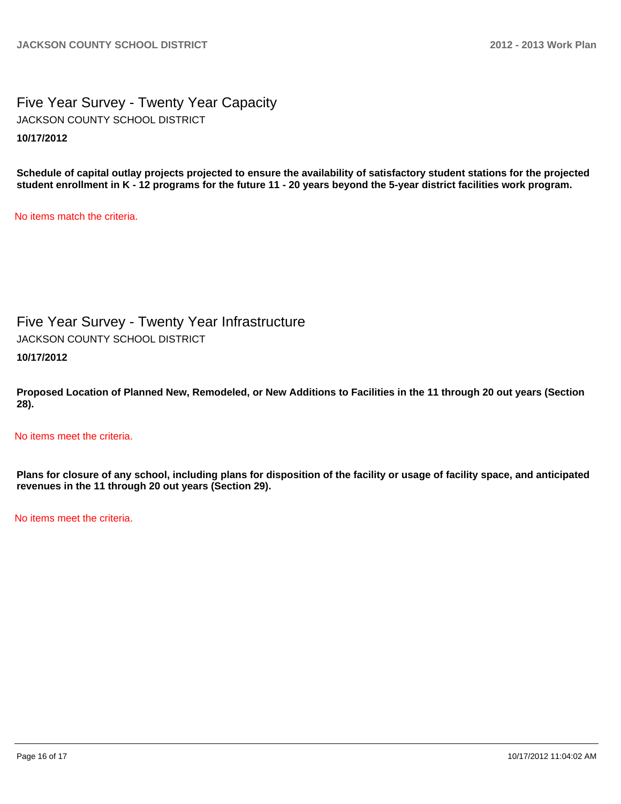# Five Year Survey - Twenty Year Capacity **10/17/2012** JACKSON COUNTY SCHOOL DISTRICT

**Schedule of capital outlay projects projected to ensure the availability of satisfactory student stations for the projected student enrollment in K - 12 programs for the future 11 - 20 years beyond the 5-year district facilities work program.**

No items match the criteria.

Five Year Survey - Twenty Year Infrastructure

JACKSON COUNTY SCHOOL DISTRICT

**10/17/2012**

**Proposed Location of Planned New, Remodeled, or New Additions to Facilities in the 11 through 20 out years (Section 28).**

No items meet the criteria.

**Plans for closure of any school, including plans for disposition of the facility or usage of facility space, and anticipated revenues in the 11 through 20 out years (Section 29).**

No items meet the criteria.